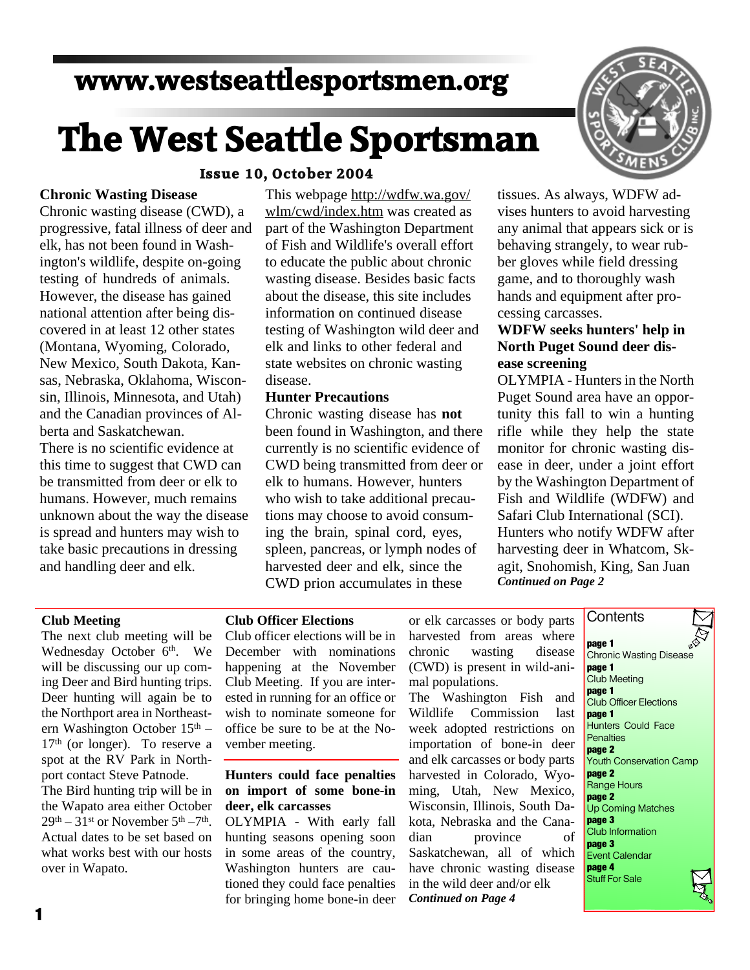# **www.westseattlesportsmen.org**

# **The West Seattle Sportsman**

# **Issue 10, October 2004**

## **Chronic Wasting Disease**

Chronic wasting disease (CWD), a progressive, fatal illness of deer and elk, has not been found in Wash ington's wildlife, despite on-going testing of hundreds of animals. However, the disease has gained national attention after being dis covered in at least 12 other states (Montana, Wyoming, Colorado, New Mexico, South Dakota, Kan sas, Nebraska, Oklahoma, Wiscon sin, Illinois, Minnesota, and Utah) and the Canadian provinces of Al berta and Saskatchewan. There is no scientific evidence at this time to suggest that CWD can be transmitted from deer or elk to humans. However, much remains unknown about the way the disease is spread and hunters may wish to take basic precautions in dressing and handling deer and elk.

This webpage http://wdfw.wa.gov/ wlm/cwd/index.htm was created as part of the Washington Department of Fish and Wildlife's overall effort to educate the public about chronic wasting disease. Besides basic facts about the disease, this site includes information on continued disease testing of Washington wild deer and elk and links to other federal and state websites on chronic wasting disease.

#### **Hunter Precautions**

Chronic wasting disease has**not** been found in Washington, and there currently is no scientific evidence of CWD being transmitted from deer or elk to humans. However, hunters who wish to take additional precau tions may choose to avoid consum ing the brain, spinal cord, eyes, spleen, pancreas, or lymph nodes of harvested deer and elk, since the CWD prion accumulates in these



tissues. As always, WDFW ad vises hunters to avoid harvesting any animal that appears sick or is behaving strangely, to wear rub ber gloves while field dressing game, and to thoroughly wash hands and equipment after pro cessing carcasses.

# **WDFW seeks hunters' help in North Puget Sound deer dis ease screening**

OLYMPIA - Hunters in the North Puget Sound area have an oppor tunity this fall to win a hunting rifle while they help the state monitor for chronic wasting dis ease in deer, under a joint effort by the Washington Department of Fish and Wildlife (WDFW) and Safari Club International (SCI). Hunters who notify WDFW after harvesting deer in Whatcom, Sk agit, Snohomish, King, San Juan *Continued on Page 2*

**Contents** 

#### **Club Meeting**

The next club meeting will be Wednesday October 6<sup>th</sup>. We will be discussing our up com ing Deer and Bird hunting trips. Deer hunting will again be to the Northport area in Northeast ern Washington October 15th –  $17<sup>th</sup>$  (or longer). To reserve a spot at the RV Park in North port contact Steve Patnode.

The Bird hunting trip will be in the Wapato area either October  $29<sup>th</sup> - 31<sup>st</sup>$  or November  $5<sup>th</sup> - 7<sup>th</sup>$ . Actual dates to be set based on what works best with our hosts over in Wapato.

#### **Club Officer Elections**

Club officer elections will be in December with nominations chronic happening at the November Club Meeting. If you are inter ested in running for an office or wish to nominate someone for office be sure to be at the No vember meeting.

### **Hunters could face penalties on import of some bone-in deer, elk carcasses**

OLYMPIA - With early fall hunting seasons opening soon in some areas of the country, Washington hunters are cau tioned they could face penalties for bringing home bone-in deer

or elk carcasses or body parts harvested from areas where wasting disease (CWD) is present in wild-ani mal populations. The Washington Fish and

Wildlife Commission last week adopted restrictions on importation of bone-in deer and elk carcasses or body parts harvested in Colorado, Wyo ming, Utah, New Mexico, Wisconsin, Illinois, South Da kota, Nebraska and the Cana dian province of Saskatchewan, all of which have chronic wasting disease in the wild deer and/or elk *Continued on Page 4*

**page 1** Chronic Wasting Disease **page 1** Club Meeting **page 1** Club Officer Elections **page 1** Hunters Could Face **Penalties page 2** Youth Conservation Camp **page 2** Range Hours **page 2** Up Coming Matches **page 3** Club Information **page 3** Event Calendar **page 4** Stuff For Sale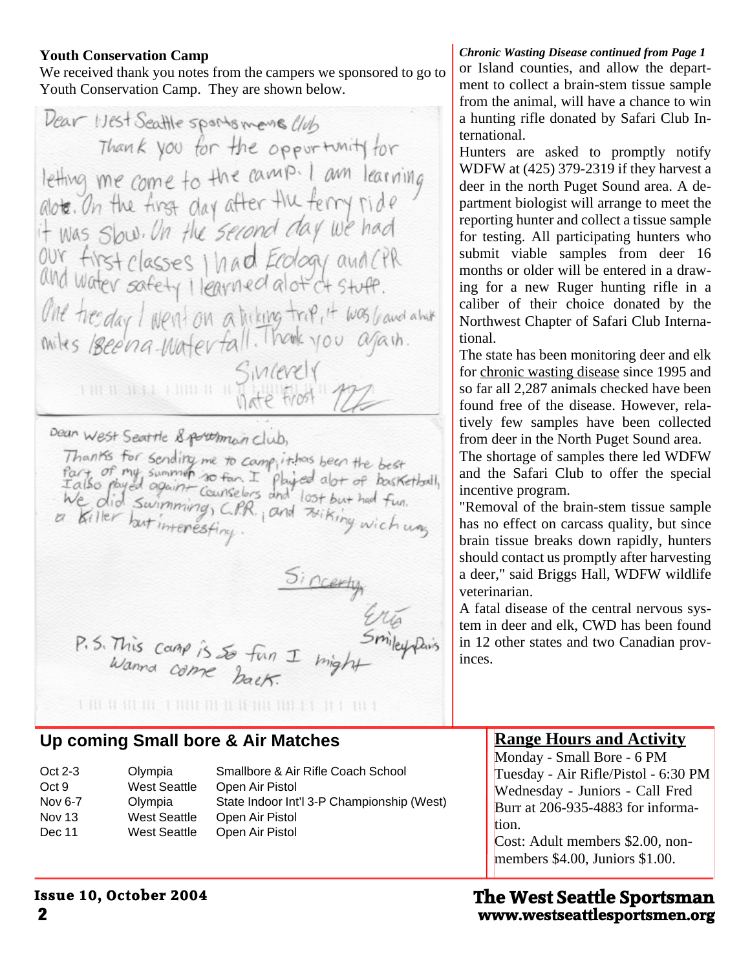# **Youth Conservation Camp**

We received thank you notes from the campers we sponsored to go to Youth Conservation Camp. They are shown below.

Dear Ust Seattle sports mense Club Thank you for the opportunity for letting me come to the camp. I am learning<br>alote. On the first day after the ferry ride<br>it was Slow. On the second day we had our first classes I had Ecology and CPR One tresday I went on a triking trip, it was band about<br>miles 18een a Materfall. Thouse you again. Sincerely Dean West Seattle & porthmain club, Thanks for sending me to camp, it has been the best<br>fart of my summer so fan. I physical alot of bosketball,<br>I also physical againt counselors and lost but had fun.<br>We did summing, C.P.R., and zoiking wich was Sincerty<br>Smiley River<br>1 I might P.S. This camp is so fun I might 

# **Up coming Small bore & Air Matches**

| $Oct 2-3$ | Olympia             | Smallbore & Air Rifle Coach School         |
|-----------|---------------------|--------------------------------------------|
| Oct 9     | West Seattle        | Open Air Pistol                            |
| Nov 6-7   | Olympia             | State Indoor Int'l 3-P Championship (West) |
| Nov 13    | <b>West Seattle</b> | Open Air Pistol                            |
| Dec 11    | <b>West Seattle</b> | Open Air Pistol                            |

*Chronic Wasting Disease continued from Page 1* or Island counties, and allow the depart ment to collect a brain-stem tissue sample from the animal, will have a chance to win a hunting rifle donated by Safari Club In ternational.

Hunters are asked to promptly notify WDFW at (425) 379-2319 if they harvest a deer in the north Puget Sound area. A de partment biologist will arrange to meet the reporting hunter and collect a tissue sample for testing. All participating hunters who submit viable samples from deer 16 months or older will be entered in a draw ing for a new Ruger hunting rifle in a caliber of their choice donated by the Northwest Chapter of Safari Club Interna tional.

The state has been monitoring deer and elk for chronic wasting disease since 1995 and so far all 2,287 animals checked have been found free of the disease. However, rela tively few samples have been collected from deer in the North Puget Sound area. The shortage of samples there led WDFW

and the Safari Club to offer the special incentive program. "Removal of the brain-stem tissue sample

has no effect on carcass quality, but since brain tissue breaks down rapidly, hunters should contact us promptly after harvesting a deer," said Briggs Hall, WDFW wildlife veterinarian.

A fatal disease of the central nervous sys tem in deer and elk, CWD has been found in 12 other states and two Canadian prov inces.

# **Range Hours and Activity**

Monday - Small Bore - 6 PM Tuesday - Air Rifle/Pistol - 6:30 PM Wednesday - Juniors - Call Fred Burr at 206-935-4883 for informa tion. Cost: Adult members \$2.00, non members \$4.00, Juniors \$1.00.

# **2 www.westseattlesportsmen.org The West Seattle Sportsman**

# **Issue 10, October 2004**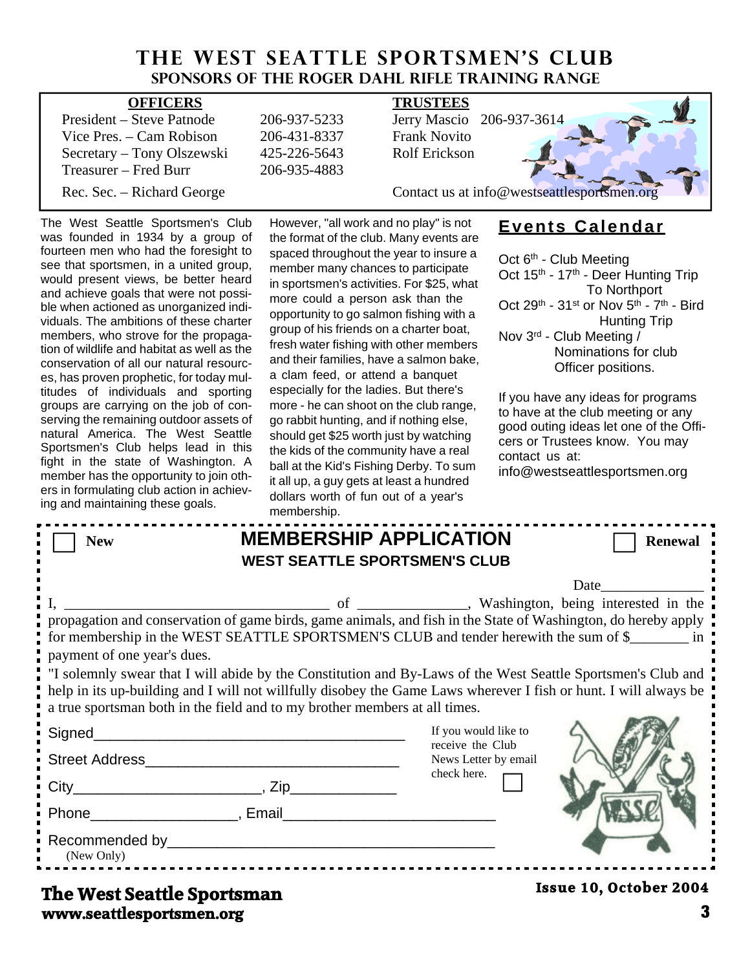# **THE WEST SEATTLE SPORTSMEN'S CLUB Sponsors of the Roger Dahl Rifle Training Range**

| <b>OFFICERS</b>            |              | <b>TRUSTEES</b>                             |  |  |
|----------------------------|--------------|---------------------------------------------|--|--|
| President – Steve Patnode  | 206-937-5233 | Jerry Mascio 206-937-3614                   |  |  |
| Vice Pres. $-$ Cam Robison | 206-431-8337 | <b>Frank Novito</b>                         |  |  |
| Secretary – Tony Olszewski | 425-226-5643 | Rolf Erickson                               |  |  |
| Treasurer – Fred Burr      | 206-935-4883 |                                             |  |  |
| Rec. Sec. – Richard George |              | Contact us at info@westseattlesportsmen.org |  |  |

The West Seattle Sportsmen's Club was founded in 1934 by a group of fourteen men who had the foresight to see that sportsmen, in a united group, would present views, be better heard and achieve goals that were not possi ble when actioned as unorganized indi viduals. The ambitions of these charter members, who strove for the propaga tion of wildlife and habitat as well as the conservation of all our natural resourc es, has proven prophetic, for today mul titudes of individuals and sporting groups are carrying on the job of con serving the remaining outdoor assets of natural America. The West Seattle Sportsmen's Club helps lead in this fight in the state of Washington. A member has the opportunity to join oth ers in formulating club action in achiev ing and maintaining these goals.

However, "all work and no play" is not the format of the club. Many events are spaced throughout the year to insure a member many chances to participate in sportsmen's activities. For \$25, what more could a person ask than the opportunity to go salmon fishing with a group of his friends on a charter boat, fresh water fishing with other members and their families, have a salmon bake, a clam feed, or attend a banquet especially for the ladies. But there's more - he can shoot on the club range, go rabbit hunting, and if nothing else, should get \$25 worth just by watching the kids of the community have a real ball at the Kid's Fishing Derby. To sum it all up, a guy gets at least a hundred dollars worth of fun out of a year's membership.

# **Events Calendar**

Oct 6<sup>th</sup> - Club Meeting Oct 15<sup>th</sup> - 17<sup>th</sup> - Deer Hunting Trip To Northport Oct 29<sup>th</sup> - 31<sup>st</sup> or Nov 5<sup>th</sup> - 7<sup>th</sup> - Bird Hunting Trip Nov 3rd - Club Meeting / Nominations for club Officer positions.

If you have any ideas for programs to have at the club meeting or any good outing ideas let one of the Offi cers or Trustees know. You may contact us at: info@westseattlesportsmen.org

|                                                                                                                                                                                                                                                                                                                                                                                                                                                                                                                                                                    | membership.                                                                                                            |                                                                                 |                        |  |  |  |
|--------------------------------------------------------------------------------------------------------------------------------------------------------------------------------------------------------------------------------------------------------------------------------------------------------------------------------------------------------------------------------------------------------------------------------------------------------------------------------------------------------------------------------------------------------------------|------------------------------------------------------------------------------------------------------------------------|---------------------------------------------------------------------------------|------------------------|--|--|--|
| <b>New</b>                                                                                                                                                                                                                                                                                                                                                                                                                                                                                                                                                         | <b>MEMBERSHIP APPLICATION</b><br><b>WEST SEATTLE SPORTSMEN'S CLUB</b>                                                  |                                                                                 | <b>Renewal</b>         |  |  |  |
| Date<br>propagation and conservation of game birds, game animals, and fish in the State of Washington, do hereby apply<br>for membership in the WEST SEATTLE SPORTSMEN'S CLUB and tender herewith the sum of \$<br>payment of one year's dues.<br>I "I solemnly swear that I will abide by the Constitution and By-Laws of the West Seattle Sportsmen's Club and<br>help in its up-building and I will not willfully disobey the Game Laws wherever I fish or hunt. I will always be<br>a true sportsman both in the field and to my brother members at all times. |                                                                                                                        |                                                                                 |                        |  |  |  |
| Signed__________                                                                                                                                                                                                                                                                                                                                                                                                                                                                                                                                                   | <u> 1989 - Johann John Stone, mars et al. 1989 - John Stone, mars et al. 1989 - John Stone, mars et al. 1989 - Joh</u> | If you would like to<br>receive the Club<br>News Letter by email<br>check here. |                        |  |  |  |
| (New Only)                                                                                                                                                                                                                                                                                                                                                                                                                                                                                                                                                         |                                                                                                                        |                                                                                 |                        |  |  |  |
| The West Seattle Sportsman                                                                                                                                                                                                                                                                                                                                                                                                                                                                                                                                         |                                                                                                                        |                                                                                 | Issue 10, October 2004 |  |  |  |

**www.seattlesportsmen.org 3 The West Seattle Sportsman**